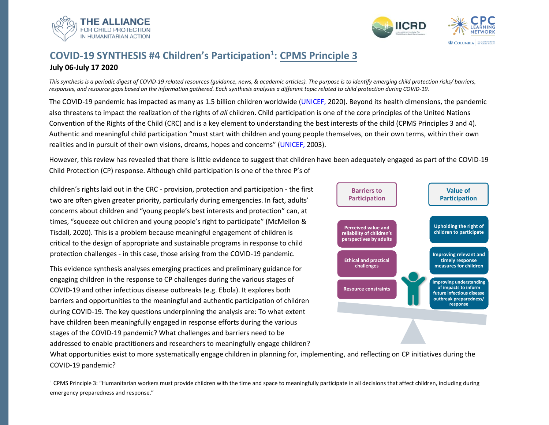

# **COVID-19 SYNTHESIS #4 Children's Participation<sup>1</sup> : [CPMS Principle 3](https://handbook.spherestandards.org/en/cpms/#ch003_005)**

**July 06-July 17 2020** 

*This synthesis is a periodic digest of COVID-19 related resources (guidance, news, & academic articles). The purpose is to identify emerging child protection risks/ barriers, responses, and resource gaps based on the information gathered. Each synthesis analyses a different topic related to child protection during COVID-19.* 

The COVID-19 pandemic has impacted as many as 1.5 billion children worldwid[e \(UNICEF,](https://www.unicef-irc.org/covid19?utm_source=unicefinnocentihomepage&utm_campaign=covid19) 2020). Beyond its health dimensions, the pandemic also threatens to impact the realization of the rights of *all* children. Child participation is one of the core principles of the United Nations Convention of the Rights of the Child (CRC) and is a key element to understanding the best interests of the child (CPMS Principles 3 and 4). Authentic and meaningful child participation "must start with children and young people themselves, on their own terms, within their own realities and in pursuit of their own visions, dreams, hopes and concerns" ([UNICEF,](https://www.unicef.org/sowc03/contents/childparticipation.html) 2003).

However, this review has revealed that there is little evidence to suggest that children have been adequately engaged as part of the COVID-19 Child Protection (CP) response. Although child participation is one of the three P's of

children's rights laid out in the CRC - provision, protection and participation - the first two are often given greater priority, particularly during emergencies. In fact, adults' concerns about children and "young people's best interests and protection" can, at times, "squeeze out children and young people's right to participate" (McMellon & Tisdall, 2020). This is a problem because meaningful engagement of children is critical to the design of appropriate and sustainable programs in response to child protection challenges - in this case, those arising from the COVID-19 pandemic.

This evidence synthesis analyses emerging practices and preliminary guidance for engaging children in the response to CP challenges during the various stages of COVID-19 and other infectious disease outbreaks (e.g. Ebola). It explores both barriers and opportunities to the meaningful and authentic participation of children during COVID-19. The key questions underpinning the analysis are: To what extent have children been meaningfully engaged in response efforts during the various stages of the COVID-19 pandemic? What challenges and barriers need to be addressed to enable practitioners and researchers to meaningfully engage children?



What opportunities exist to more systematically engage children in planning for, implementing, and reflecting on CP initiatives during the COVID-19 pandemic?

 $1$  CPMS Principle 3: "Humanitarian workers must provide children with the time and space to meaningfully participate in all decisions that affect children, including during emergency preparedness and response."

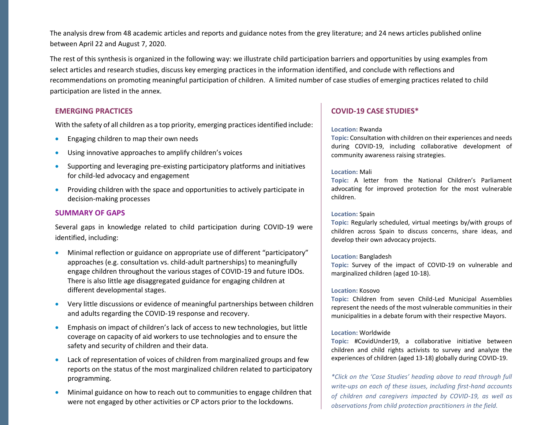The analysis drew from 48 academic articles and reports and guidance notes from the grey literature; and 24 news articles published online between April 22 and August 7, 2020.

The rest of this synthesis is organized in the following way: we illustrate child participation barriers and opportunities by using examples from select articles and research studies, discuss key emerging practices in the information identified, and conclude with reflections and recommendations on promoting meaningful participation of children. A limited number of case studies of emerging practices related to child participation are listed in the annex.

### **EMERGING PRACTICES**

With the safety of all children as a top priority, emerging practices identified include:

- Engaging children to map their own needs
- Using innovative approaches to amplify children's voices
- Supporting and leveraging pre-existing participatory platforms and initiatives for child-led advocacy and engagement
- Providing children with the space and opportunities to actively participate in decision-making processes

### **[SUMMARY OF GAPS](#page-17-0)**

Several gaps in knowledge related to child participation during COVID-19 were identified, including:

- Minimal reflection or guidance on appropriate use of different "participatory" approaches (e.g. consultation vs. child-adult partnerships) to meaningfully engage children throughout the various stages of COVID-19 and future IDOs. There is also little age disaggregated guidance for engaging children at different developmental stages.
- Very little discussions or evidence of meaningful partnerships between children and adults regarding the COVID-19 response and recovery.
- Emphasis on impact of children's lack of access to new technologies, but little coverage on capacity of aid workers to use technologies and to ensure the safety and security of children and their data.
- Lack of representation of voices of children from marginalized groups and few reports on the status of the most marginalized children related to participatory programming.
- Minimal guidance on how to reach out to communities to engage children that were not engaged by other activities or CP actors prior to the lockdowns.

### **COVID-19 [CASE STUDIES\\*](#page-17-0)**

#### **Location:** Rwanda

**Topic:** Consultation with children on their experiences and needs during COVID-19, including collaborative development of community awareness raising strategies.

### **Location:** Mali

**Topic:** A letter from the National Children's Parliament advocating for improved protection for the most vulnerable children.

### **Location:** Spain

**Topic:** Regularly scheduled, virtual meetings by/with groups of children across Spain to discuss concerns, share ideas, and develop their own advocacy projects.

### **Location:** Bangladesh

**Topic:** Survey of the impact of COVID-19 on vulnerable and marginalized children (aged 10-18).

### **Location:** Kosovo

**Topic:** Children from seven Child-Led Municipal Assemblies represent the needs of the most vulnerable communities in their municipalities in a debate forum with their respective Mayors.

### **Location:** Worldwide

**Topic:** #CovidUnder19, a collaborative initiative between children and child rights activists to survey and analyze the experiences of children (aged 13-18) globally during COVID-19.

2 *of children and caregivers impacted by COVID-19, as well as \*Click on the 'Case Studies' heading above to read through full write-ups on each of these issues, including first-hand accounts observations from child protection practitioners in the field.*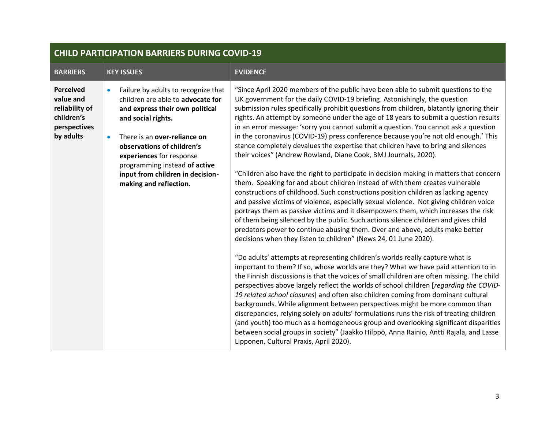| <b>BARRIERS</b>                                                                            | <b>KEY ISSUES</b>                                                                                                                                                                                                                                                                                                                                    | <b>EVIDENCE</b>                                                                                                                                                                                                                                                                                                                                                                                                                                                                                                                                                                                                                                                                                                                                                                                                                                                                                                                                                                                                                                                                                                                                                                                                                                                                                                                                                                                                                                                                                                                                                                                                                                                                                                                                                                                                                                                                                                                                                                                                                                                                                                                                                                                                                                  |  |
|--------------------------------------------------------------------------------------------|------------------------------------------------------------------------------------------------------------------------------------------------------------------------------------------------------------------------------------------------------------------------------------------------------------------------------------------------------|--------------------------------------------------------------------------------------------------------------------------------------------------------------------------------------------------------------------------------------------------------------------------------------------------------------------------------------------------------------------------------------------------------------------------------------------------------------------------------------------------------------------------------------------------------------------------------------------------------------------------------------------------------------------------------------------------------------------------------------------------------------------------------------------------------------------------------------------------------------------------------------------------------------------------------------------------------------------------------------------------------------------------------------------------------------------------------------------------------------------------------------------------------------------------------------------------------------------------------------------------------------------------------------------------------------------------------------------------------------------------------------------------------------------------------------------------------------------------------------------------------------------------------------------------------------------------------------------------------------------------------------------------------------------------------------------------------------------------------------------------------------------------------------------------------------------------------------------------------------------------------------------------------------------------------------------------------------------------------------------------------------------------------------------------------------------------------------------------------------------------------------------------------------------------------------------------------------------------------------------------|--|
| <b>Perceived</b><br>value and<br>reliability of<br>children's<br>perspectives<br>by adults | Failure by adults to recognize that<br>$\bullet$<br>children are able to advocate for<br>and express their own political<br>and social rights.<br>There is an over-reliance on<br>$\bullet$<br>observations of children's<br>experiences for response<br>programming instead of active<br>input from children in decision-<br>making and reflection. | "Since April 2020 members of the public have been able to submit questions to the<br>UK government for the daily COVID-19 briefing. Astonishingly, the question<br>submission rules specifically prohibit questions from children, blatantly ignoring their<br>rights. An attempt by someone under the age of 18 years to submit a question results<br>in an error message: 'sorry you cannot submit a question. You cannot ask a question<br>in the coronavirus (COVID-19) press conference because you're not old enough.' This<br>stance completely devalues the expertise that children have to bring and silences<br>their voices" (Andrew Rowland, Diane Cook, BMJ Journals, 2020).<br>"Children also have the right to participate in decision making in matters that concern<br>them. Speaking for and about children instead of with them creates vulnerable<br>constructions of childhood. Such constructions position children as lacking agency<br>and passive victims of violence, especially sexual violence. Not giving children voice<br>portrays them as passive victims and it disempowers them, which increases the risk<br>of them being silenced by the public. Such actions silence children and gives child<br>predators power to continue abusing them. Over and above, adults make better<br>decisions when they listen to children" (News 24, 01 June 2020).<br>"Do adults' attempts at representing children's worlds really capture what is<br>important to them? If so, whose worlds are they? What we have paid attention to in<br>the Finnish discussions is that the voices of small children are often missing. The child<br>perspectives above largely reflect the worlds of school children [regarding the COVID-<br>19 related school closures] and often also children coming from dominant cultural<br>backgrounds. While alignment between perspectives might be more common than<br>discrepancies, relying solely on adults' formulations runs the risk of treating children<br>(and youth) too much as a homogeneous group and overlooking significant disparities<br>between social groups in society" (Jaakko Hilppö, Anna Rainio, Antti Rajala, and Lasse<br>Lipponen, Cultural Praxis, April 2020). |  |

# **CHILD PARTICIPATION BARRIERS DURING COVID-19**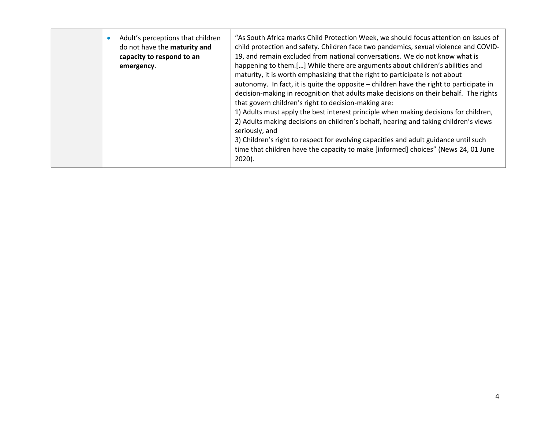|  |  | Adult's perceptions that children<br>do not have the maturity and<br>capacity to respond to an<br>emergency. | "As South Africa marks Child Protection Week, we should focus attention on issues of<br>child protection and safety. Children face two pandemics, sexual violence and COVID-<br>19, and remain excluded from national conversations. We do not know what is<br>happening to them.[] While there are arguments about children's abilities and<br>maturity, it is worth emphasizing that the right to participate is not about<br>autonomy. In fact, it is quite the opposite - children have the right to participate in<br>decision-making in recognition that adults make decisions on their behalf. The rights<br>that govern children's right to decision-making are:<br>1) Adults must apply the best interest principle when making decisions for children,<br>2) Adults making decisions on children's behalf, hearing and taking children's views<br>seriously, and<br>3) Children's right to respect for evolving capacities and adult guidance until such<br>time that children have the capacity to make [informed] choices" (News 24, 01 June<br>$2020$ ). |
|--|--|--------------------------------------------------------------------------------------------------------------|-----------------------------------------------------------------------------------------------------------------------------------------------------------------------------------------------------------------------------------------------------------------------------------------------------------------------------------------------------------------------------------------------------------------------------------------------------------------------------------------------------------------------------------------------------------------------------------------------------------------------------------------------------------------------------------------------------------------------------------------------------------------------------------------------------------------------------------------------------------------------------------------------------------------------------------------------------------------------------------------------------------------------------------------------------------------------|
|--|--|--------------------------------------------------------------------------------------------------------------|-----------------------------------------------------------------------------------------------------------------------------------------------------------------------------------------------------------------------------------------------------------------------------------------------------------------------------------------------------------------------------------------------------------------------------------------------------------------------------------------------------------------------------------------------------------------------------------------------------------------------------------------------------------------------------------------------------------------------------------------------------------------------------------------------------------------------------------------------------------------------------------------------------------------------------------------------------------------------------------------------------------------------------------------------------------------------|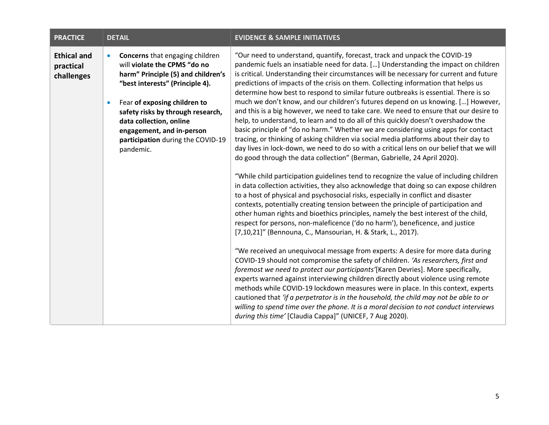| <b>PRACTICE</b>                               |                        | <b>DETAIL</b>                                                                                                                                                                                                                                                                                                                  | <b>EVIDENCE &amp; SAMPLE INITIATIVES</b>                                                                                                                                                                                                                                                                                                                                                                                                                                                                                                                                                                                                                                                                                                                                                                                                                                                                                                                                                                                                                                                                                                                                                                                                                                                                                                                                                                                                                                                                                                                                                                                                                                                                                                                                                                                                                                                                                                                                                                                                                                                                                                                                                                                                                                                                                                                       |  |
|-----------------------------------------------|------------------------|--------------------------------------------------------------------------------------------------------------------------------------------------------------------------------------------------------------------------------------------------------------------------------------------------------------------------------|----------------------------------------------------------------------------------------------------------------------------------------------------------------------------------------------------------------------------------------------------------------------------------------------------------------------------------------------------------------------------------------------------------------------------------------------------------------------------------------------------------------------------------------------------------------------------------------------------------------------------------------------------------------------------------------------------------------------------------------------------------------------------------------------------------------------------------------------------------------------------------------------------------------------------------------------------------------------------------------------------------------------------------------------------------------------------------------------------------------------------------------------------------------------------------------------------------------------------------------------------------------------------------------------------------------------------------------------------------------------------------------------------------------------------------------------------------------------------------------------------------------------------------------------------------------------------------------------------------------------------------------------------------------------------------------------------------------------------------------------------------------------------------------------------------------------------------------------------------------------------------------------------------------------------------------------------------------------------------------------------------------------------------------------------------------------------------------------------------------------------------------------------------------------------------------------------------------------------------------------------------------------------------------------------------------------------------------------------------------|--|
| <b>Ethical and</b><br>practical<br>challenges | $\bullet$<br>$\bullet$ | <b>Concerns</b> that engaging children<br>will violate the CPMS "do no<br>harm" Principle (5) and children's<br>"best interests" (Principle 4).<br>Fear of exposing children to<br>safety risks by through research,<br>data collection, online<br>engagement, and in-person<br>participation during the COVID-19<br>pandemic. | "Our need to understand, quantify, forecast, track and unpack the COVID-19<br>pandemic fuels an insatiable need for data. [] Understanding the impact on children<br>is critical. Understanding their circumstances will be necessary for current and future<br>predictions of impacts of the crisis on them. Collecting information that helps us<br>determine how best to respond to similar future outbreaks is essential. There is so<br>much we don't know, and our children's futures depend on us knowing. [] However,<br>and this is a big however, we need to take care. We need to ensure that our desire to<br>help, to understand, to learn and to do all of this quickly doesn't overshadow the<br>basic principle of "do no harm." Whether we are considering using apps for contact<br>tracing, or thinking of asking children via social media platforms about their day to<br>day lives in lock-down, we need to do so with a critical lens on our belief that we will<br>do good through the data collection" (Berman, Gabrielle, 24 April 2020).<br>"While child participation guidelines tend to recognize the value of including children<br>in data collection activities, they also acknowledge that doing so can expose children<br>to a host of physical and psychosocial risks, especially in conflict and disaster<br>contexts, potentially creating tension between the principle of participation and<br>other human rights and bioethics principles, namely the best interest of the child,<br>respect for persons, non-maleficence ('do no harm'), beneficence, and justice<br>[7,10,21]" (Bennouna, C., Mansourian, H. & Stark, L., 2017).<br>"We received an unequivocal message from experts: A desire for more data during<br>COVID-19 should not compromise the safety of children. 'As researchers, first and<br>foremost we need to protect our participants'[Karen Devries]. More specifically,<br>experts warned against interviewing children directly about violence using remote<br>methods while COVID-19 lockdown measures were in place. In this context, experts<br>cautioned that 'if a perpetrator is in the household, the child may not be able to or<br>willing to spend time over the phone. It is a moral decision to not conduct interviews<br>during this time' [Claudia Cappa]" (UNICEF, 7 Aug 2020). |  |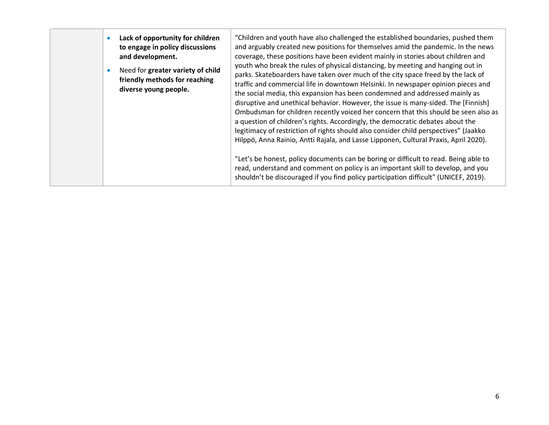|  |  | Lack of opportunity for children<br>to engage in policy discussions<br>and development.<br>Need for greater variety of child<br>friendly methods for reaching<br>diverse young people. | "Children and youth have also challenged the established boundaries, pushed them<br>and arguably created new positions for themselves amid the pandemic. In the news<br>coverage, these positions have been evident mainly in stories about children and<br>youth who break the rules of physical distancing, by meeting and hanging out in<br>parks. Skateboarders have taken over much of the city space freed by the lack of<br>traffic and commercial life in downtown Helsinki. In newspaper opinion pieces and<br>the social media, this expansion has been condemned and addressed mainly as<br>disruptive and unethical behavior. However, the issue is many-sided. The [Finnish]<br>Ombudsman for children recently voiced her concern that this should be seen also as<br>a question of children's rights. Accordingly, the democratic debates about the<br>legitimacy of restriction of rights should also consider child perspectives" (Jaakko<br>Hilppö, Anna Rainio, Antti Rajala, and Lasse Lipponen, Cultural Praxis, April 2020).<br>"Let's be honest, policy documents can be boring or difficult to read. Being able to<br>read, understand and comment on policy is an important skill to develop, and you<br>shouldn't be discouraged if you find policy participation difficult" (UNICEF, 2019). |
|--|--|----------------------------------------------------------------------------------------------------------------------------------------------------------------------------------------|------------------------------------------------------------------------------------------------------------------------------------------------------------------------------------------------------------------------------------------------------------------------------------------------------------------------------------------------------------------------------------------------------------------------------------------------------------------------------------------------------------------------------------------------------------------------------------------------------------------------------------------------------------------------------------------------------------------------------------------------------------------------------------------------------------------------------------------------------------------------------------------------------------------------------------------------------------------------------------------------------------------------------------------------------------------------------------------------------------------------------------------------------------------------------------------------------------------------------------------------------------------------------------------------------------------------|
|--|--|----------------------------------------------------------------------------------------------------------------------------------------------------------------------------------------|------------------------------------------------------------------------------------------------------------------------------------------------------------------------------------------------------------------------------------------------------------------------------------------------------------------------------------------------------------------------------------------------------------------------------------------------------------------------------------------------------------------------------------------------------------------------------------------------------------------------------------------------------------------------------------------------------------------------------------------------------------------------------------------------------------------------------------------------------------------------------------------------------------------------------------------------------------------------------------------------------------------------------------------------------------------------------------------------------------------------------------------------------------------------------------------------------------------------------------------------------------------------------------------------------------------------|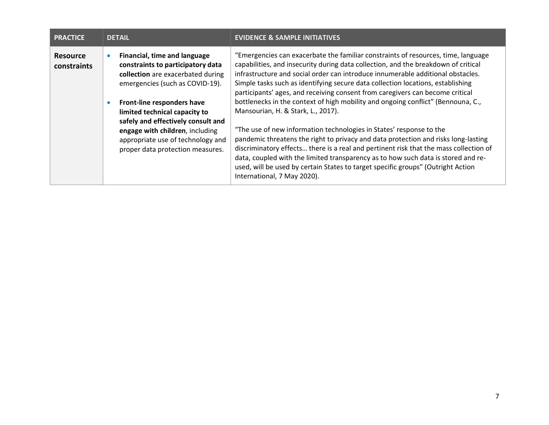| <b>PRACTICE</b>                | <b>DETAIL</b>  |                                                                                                                                                                                                                                                                                                                                                            | <b>EVIDENCE &amp; SAMPLE INITIATIVES</b>                                                                                                                                                                                                                                                                                                                                                                                                                                                                                                                                                                                                                                                                                                                                                                                                                                                                                                                                                                               |
|--------------------------------|----------------|------------------------------------------------------------------------------------------------------------------------------------------------------------------------------------------------------------------------------------------------------------------------------------------------------------------------------------------------------------|------------------------------------------------------------------------------------------------------------------------------------------------------------------------------------------------------------------------------------------------------------------------------------------------------------------------------------------------------------------------------------------------------------------------------------------------------------------------------------------------------------------------------------------------------------------------------------------------------------------------------------------------------------------------------------------------------------------------------------------------------------------------------------------------------------------------------------------------------------------------------------------------------------------------------------------------------------------------------------------------------------------------|
| <b>Resource</b><br>constraints | ۰<br>$\bullet$ | Financial, time and language<br>constraints to participatory data<br>collection are exacerbated during<br>emergencies (such as COVID-19).<br>Front-line responders have<br>limited technical capacity to<br>safely and effectively consult and<br>engage with children, including<br>appropriate use of technology and<br>proper data protection measures. | "Emergencies can exacerbate the familiar constraints of resources, time, language<br>capabilities, and insecurity during data collection, and the breakdown of critical<br>infrastructure and social order can introduce innumerable additional obstacles.<br>Simple tasks such as identifying secure data collection locations, establishing<br>participants' ages, and receiving consent from caregivers can become critical<br>bottlenecks in the context of high mobility and ongoing conflict" (Bennouna, C.,<br>Mansourian, H. & Stark, L., 2017).<br>"The use of new information technologies in States' response to the<br>pandemic threatens the right to privacy and data protection and risks long-lasting<br>discriminatory effects there is a real and pertinent risk that the mass collection of<br>data, coupled with the limited transparency as to how such data is stored and re-<br>used, will be used by certain States to target specific groups" (Outright Action<br>International, 7 May 2020). |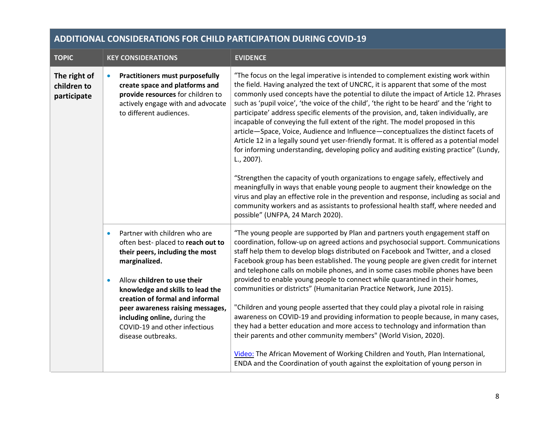| <b>ADDITIONAL CONSIDERATIONS FOR CHILD PARTICIPATION DURING COVID-19</b> |                                                                                                                                                                                                                                                                                                                                                                                   |                                                                                                                                                                                                                                                                                                                                                                                                                                                                                                                                                                                                                                                                                                                                                                                                                                                                                                                                                                                                                                                                                                                                                                                                                                       |  |
|--------------------------------------------------------------------------|-----------------------------------------------------------------------------------------------------------------------------------------------------------------------------------------------------------------------------------------------------------------------------------------------------------------------------------------------------------------------------------|---------------------------------------------------------------------------------------------------------------------------------------------------------------------------------------------------------------------------------------------------------------------------------------------------------------------------------------------------------------------------------------------------------------------------------------------------------------------------------------------------------------------------------------------------------------------------------------------------------------------------------------------------------------------------------------------------------------------------------------------------------------------------------------------------------------------------------------------------------------------------------------------------------------------------------------------------------------------------------------------------------------------------------------------------------------------------------------------------------------------------------------------------------------------------------------------------------------------------------------|--|
| <b>TOPIC</b>                                                             | <b>KEY CONSIDERATIONS</b>                                                                                                                                                                                                                                                                                                                                                         | <b>EVIDENCE</b>                                                                                                                                                                                                                                                                                                                                                                                                                                                                                                                                                                                                                                                                                                                                                                                                                                                                                                                                                                                                                                                                                                                                                                                                                       |  |
| The right of<br>children to<br>participate                               | <b>Practitioners must purposefully</b><br>create space and platforms and<br>provide resources for children to<br>actively engage with and advocate<br>to different audiences.                                                                                                                                                                                                     | "The focus on the legal imperative is intended to complement existing work within<br>the field. Having analyzed the text of UNCRC, it is apparent that some of the most<br>commonly used concepts have the potential to dilute the impact of Article 12. Phrases<br>such as 'pupil voice', 'the voice of the child', 'the right to be heard' and the 'right to<br>participate' address specific elements of the provision, and, taken individually, are<br>incapable of conveying the full extent of the right. The model proposed in this<br>article-Space, Voice, Audience and Influence-conceptualizes the distinct facets of<br>Article 12 in a legally sound yet user-friendly format. It is offered as a potential model<br>for informing understanding, developing policy and auditing existing practice" (Lundy,<br>L., 2007).<br>"Strengthen the capacity of youth organizations to engage safely, effectively and<br>meaningfully in ways that enable young people to augment their knowledge on the<br>virus and play an effective role in the prevention and response, including as social and<br>community workers and as assistants to professional health staff, where needed and<br>possible" (UNFPA, 24 March 2020). |  |
|                                                                          | Partner with children who are<br>$\bullet$<br>often best-placed to reach out to<br>their peers, including the most<br>marginalized.<br>Allow children to use their<br>$\bullet$<br>knowledge and skills to lead the<br>creation of formal and informal<br>peer awareness raising messages,<br>including online, during the<br>COVID-19 and other infectious<br>disease outbreaks. | "The young people are supported by Plan and partners youth engagement staff on<br>coordination, follow-up on agreed actions and psychosocial support. Communications<br>staff help them to develop blogs distributed on Facebook and Twitter, and a closed<br>Facebook group has been established. The young people are given credit for internet<br>and telephone calls on mobile phones, and in some cases mobile phones have been<br>provided to enable young people to connect while quarantined in their homes,<br>communities or districts" (Humanitarian Practice Network, June 2015).<br>"Children and young people asserted that they could play a pivotal role in raising<br>awareness on COVID-19 and providing information to people because, in many cases,<br>they had a better education and more access to technology and information than<br>their parents and other community members" (World Vision, 2020).<br>Video: The African Movement of Working Children and Youth, Plan International,<br>ENDA and the Coordination of youth against the exploitation of young person in                                                                                                                                    |  |

## **ADDITIONAL CONSIDERATIONS FOR CHILD PARTICIPATION DURING COVID-19**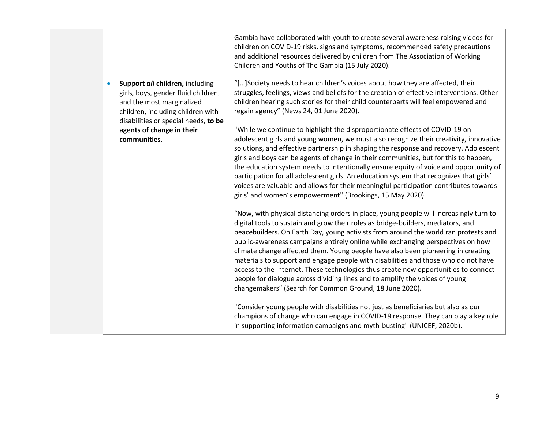|  |                                                                                                                                                                                               | Gambia have collaborated with youth to create several awareness raising videos for<br>children on COVID-19 risks, signs and symptoms, recommended safety precautions<br>and additional resources delivered by children from The Association of Working<br>Children and Youths of The Gambia (15 July 2020).                                                                                                                                                                                                                                                                                                                                                                                                                                                      |
|--|-----------------------------------------------------------------------------------------------------------------------------------------------------------------------------------------------|------------------------------------------------------------------------------------------------------------------------------------------------------------------------------------------------------------------------------------------------------------------------------------------------------------------------------------------------------------------------------------------------------------------------------------------------------------------------------------------------------------------------------------------------------------------------------------------------------------------------------------------------------------------------------------------------------------------------------------------------------------------|
|  | Support all children, including<br>$\bullet$<br>girls, boys, gender fluid children,<br>and the most marginalized<br>children, including children with<br>disabilities or special needs, to be | "[] Society needs to hear children's voices about how they are affected, their<br>struggles, feelings, views and beliefs for the creation of effective interventions. Other<br>children hearing such stories for their child counterparts will feel empowered and<br>regain agency" (News 24, 01 June 2020).                                                                                                                                                                                                                                                                                                                                                                                                                                                     |
|  | agents of change in their<br>communities.                                                                                                                                                     | "While we continue to highlight the disproportionate effects of COVID-19 on<br>adolescent girls and young women, we must also recognize their creativity, innovative<br>solutions, and effective partnership in shaping the response and recovery. Adolescent<br>girls and boys can be agents of change in their communities, but for this to happen,<br>the education system needs to intentionally ensure equity of voice and opportunity of<br>participation for all adolescent girls. An education system that recognizes that girls'<br>voices are valuable and allows for their meaningful participation contributes towards<br>girls' and women's empowerment" (Brookings, 15 May 2020).                                                                  |
|  |                                                                                                                                                                                               | "Now, with physical distancing orders in place, young people will increasingly turn to<br>digital tools to sustain and grow their roles as bridge-builders, mediators, and<br>peacebuilders. On Earth Day, young activists from around the world ran protests and<br>public-awareness campaigns entirely online while exchanging perspectives on how<br>climate change affected them. Young people have also been pioneering in creating<br>materials to support and engage people with disabilities and those who do not have<br>access to the internet. These technologies thus create new opportunities to connect<br>people for dialogue across dividing lines and to amplify the voices of young<br>changemakers" (Search for Common Ground, 18 June 2020). |
|  |                                                                                                                                                                                               | "Consider young people with disabilities not just as beneficiaries but also as our<br>champions of change who can engage in COVID-19 response. They can play a key role<br>in supporting information campaigns and myth-busting" (UNICEF, 2020b).                                                                                                                                                                                                                                                                                                                                                                                                                                                                                                                |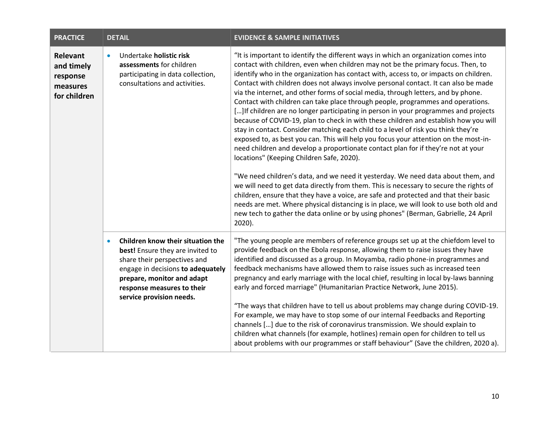| <b>PRACTICE</b>                                                | <b>DETAIL</b>                                                                                                                                                                                                                                   | <b>EVIDENCE &amp; SAMPLE INITIATIVES</b>                                                                                                                                                                                                                                                                                                                                                                                                                                                                                                                                                                                                                                                                                                                                                                                                                                                                                                                                                                                                                                                                                                                                                                                                                                                                                                                                                                                                                                                         |
|----------------------------------------------------------------|-------------------------------------------------------------------------------------------------------------------------------------------------------------------------------------------------------------------------------------------------|--------------------------------------------------------------------------------------------------------------------------------------------------------------------------------------------------------------------------------------------------------------------------------------------------------------------------------------------------------------------------------------------------------------------------------------------------------------------------------------------------------------------------------------------------------------------------------------------------------------------------------------------------------------------------------------------------------------------------------------------------------------------------------------------------------------------------------------------------------------------------------------------------------------------------------------------------------------------------------------------------------------------------------------------------------------------------------------------------------------------------------------------------------------------------------------------------------------------------------------------------------------------------------------------------------------------------------------------------------------------------------------------------------------------------------------------------------------------------------------------------|
| Relevant<br>and timely<br>response<br>measures<br>for children | Undertake holistic risk<br>$\bullet$<br>assessments for children<br>participating in data collection,<br>consultations and activities.                                                                                                          | "It is important to identify the different ways in which an organization comes into<br>contact with children, even when children may not be the primary focus. Then, to<br>identify who in the organization has contact with, access to, or impacts on children.<br>Contact with children does not always involve personal contact. It can also be made<br>via the internet, and other forms of social media, through letters, and by phone.<br>Contact with children can take place through people, programmes and operations.<br>[] If children are no longer participating in person in your programmes and projects<br>because of COVID-19, plan to check in with these children and establish how you will<br>stay in contact. Consider matching each child to a level of risk you think they're<br>exposed to, as best you can. This will help you focus your attention on the most-in-<br>need children and develop a proportionate contact plan for if they're not at your<br>locations" (Keeping Children Safe, 2020).<br>"We need children's data, and we need it yesterday. We need data about them, and<br>we will need to get data directly from them. This is necessary to secure the rights of<br>children, ensure that they have a voice, are safe and protected and that their basic<br>needs are met. Where physical distancing is in place, we will look to use both old and<br>new tech to gather the data online or by using phones" (Berman, Gabrielle, 24 April<br>2020). |
|                                                                | Children know their situation the<br>$\bullet$<br>best! Ensure they are invited to<br>share their perspectives and<br>engage in decisions to adequately<br>prepare, monitor and adapt<br>response measures to their<br>service provision needs. | "The young people are members of reference groups set up at the chiefdom level to<br>provide feedback on the Ebola response, allowing them to raise issues they have<br>identified and discussed as a group. In Moyamba, radio phone-in programmes and<br>feedback mechanisms have allowed them to raise issues such as increased teen<br>pregnancy and early marriage with the local chief, resulting in local by-laws banning<br>early and forced marriage" (Humanitarian Practice Network, June 2015).<br>"The ways that children have to tell us about problems may change during COVID-19.<br>For example, we may have to stop some of our internal Feedbacks and Reporting<br>channels [] due to the risk of coronavirus transmission. We should explain to<br>children what channels (for example, hotlines) remain open for children to tell us<br>about problems with our programmes or staff behaviour" (Save the children, 2020 a).                                                                                                                                                                                                                                                                                                                                                                                                                                                                                                                                                   |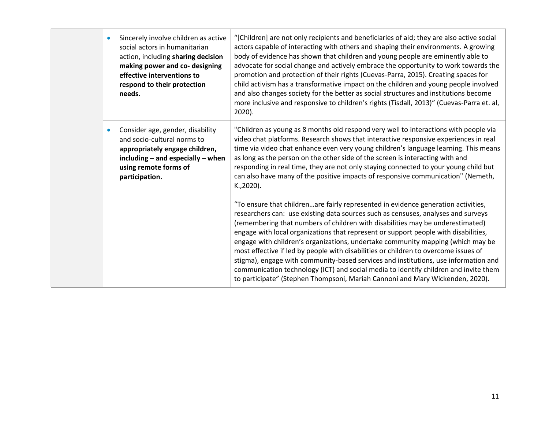| $\bullet$ | Sincerely involve children as active<br>social actors in humanitarian<br>action, including sharing decision<br>making power and co- designing<br>effective interventions to<br>respond to their protection<br>needs. | "[Children] are not only recipients and beneficiaries of aid; they are also active social<br>actors capable of interacting with others and shaping their environments. A growing<br>body of evidence has shown that children and young people are eminently able to<br>advocate for social change and actively embrace the opportunity to work towards the<br>promotion and protection of their rights (Cuevas-Parra, 2015). Creating spaces for<br>child activism has a transformative impact on the children and young people involved<br>and also changes society for the better as social structures and institutions become<br>more inclusive and responsive to children's rights (Tisdall, 2013)" (Cuevas-Parra et. al,<br>2020).                                                   |
|-----------|----------------------------------------------------------------------------------------------------------------------------------------------------------------------------------------------------------------------|-------------------------------------------------------------------------------------------------------------------------------------------------------------------------------------------------------------------------------------------------------------------------------------------------------------------------------------------------------------------------------------------------------------------------------------------------------------------------------------------------------------------------------------------------------------------------------------------------------------------------------------------------------------------------------------------------------------------------------------------------------------------------------------------|
| $\bullet$ | Consider age, gender, disability<br>and socio-cultural norms to<br>appropriately engage children,<br>$including - and especially - when$<br>using remote forms of<br>participation.                                  | "Children as young as 8 months old respond very well to interactions with people via<br>video chat platforms. Research shows that interactive responsive experiences in real<br>time via video chat enhance even very young children's language learning. This means<br>as long as the person on the other side of the screen is interacting with and<br>responding in real time, they are not only staying connected to your young child but<br>can also have many of the positive impacts of responsive communication" (Nemeth,<br>K., 2020).                                                                                                                                                                                                                                           |
|           |                                                                                                                                                                                                                      | "To ensure that childrenare fairly represented in evidence generation activities,<br>researchers can: use existing data sources such as censuses, analyses and surveys<br>(remembering that numbers of children with disabilities may be underestimated)<br>engage with local organizations that represent or support people with disabilities,<br>engage with children's organizations, undertake community mapping (which may be<br>most effective if led by people with disabilities or children to overcome issues of<br>stigma), engage with community-based services and institutions, use information and<br>communication technology (ICT) and social media to identify children and invite them<br>to participate" (Stephen Thompsoni, Mariah Cannoni and Mary Wickenden, 2020). |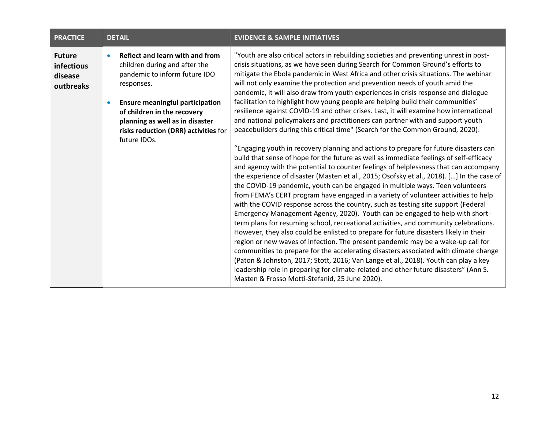| <b>PRACTICE</b>                                            | <b>DETAIL</b>                                                                                                                                                                                                                                                                                                 | <b>EVIDENCE &amp; SAMPLE INITIATIVES</b>                                                                                                                                                                                                                                                                                                                                                                                                                                                                                                                                                                                                                                                                                                                                                                                                                                                                                                                                                                                                                                                                                                                                                                                                                                                                                                                                                                                                                                                                                                                                                                                                                                                                                                                                                                                                                                                                                                                                                                                                                                                              |
|------------------------------------------------------------|---------------------------------------------------------------------------------------------------------------------------------------------------------------------------------------------------------------------------------------------------------------------------------------------------------------|-------------------------------------------------------------------------------------------------------------------------------------------------------------------------------------------------------------------------------------------------------------------------------------------------------------------------------------------------------------------------------------------------------------------------------------------------------------------------------------------------------------------------------------------------------------------------------------------------------------------------------------------------------------------------------------------------------------------------------------------------------------------------------------------------------------------------------------------------------------------------------------------------------------------------------------------------------------------------------------------------------------------------------------------------------------------------------------------------------------------------------------------------------------------------------------------------------------------------------------------------------------------------------------------------------------------------------------------------------------------------------------------------------------------------------------------------------------------------------------------------------------------------------------------------------------------------------------------------------------------------------------------------------------------------------------------------------------------------------------------------------------------------------------------------------------------------------------------------------------------------------------------------------------------------------------------------------------------------------------------------------------------------------------------------------------------------------------------------------|
| <b>Future</b><br><b>infectious</b><br>disease<br>outbreaks | Reflect and learn with and from<br>$\bullet$<br>children during and after the<br>pandemic to inform future IDO<br>responses.<br><b>Ensure meaningful participation</b><br>$\bullet$<br>of children in the recovery<br>planning as well as in disaster<br>risks reduction (DRR) activities for<br>future IDOs. | "Youth are also critical actors in rebuilding societies and preventing unrest in post-<br>crisis situations, as we have seen during Search for Common Ground's efforts to<br>mitigate the Ebola pandemic in West Africa and other crisis situations. The webinar<br>will not only examine the protection and prevention needs of youth amid the<br>pandemic, it will also draw from youth experiences in crisis response and dialogue<br>facilitation to highlight how young people are helping build their communities'<br>resilience against COVID-19 and other crises. Last, it will examine how international<br>and national policymakers and practitioners can partner with and support youth<br>peacebuilders during this critical time" (Search for the Common Ground, 2020).<br>"Engaging youth in recovery planning and actions to prepare for future disasters can<br>build that sense of hope for the future as well as immediate feelings of self-efficacy<br>and agency with the potential to counter feelings of helplessness that can accompany<br>the experience of disaster (Masten et al., 2015; Osofsky et al., 2018). [] In the case of<br>the COVID-19 pandemic, youth can be engaged in multiple ways. Teen volunteers<br>from FEMA's CERT program have engaged in a variety of volunteer activities to help<br>with the COVID response across the country, such as testing site support (Federal<br>Emergency Management Agency, 2020). Youth can be engaged to help with short-<br>term plans for resuming school, recreational activities, and community celebrations.<br>However, they also could be enlisted to prepare for future disasters likely in their<br>region or new waves of infection. The present pandemic may be a wake-up call for<br>communities to prepare for the accelerating disasters associated with climate change<br>(Paton & Johnston, 2017; Stott, 2016; Van Lange et al., 2018). Youth can play a key<br>leadership role in preparing for climate-related and other future disasters" (Ann S.<br>Masten & Frosso Motti-Stefanid, 25 June 2020). |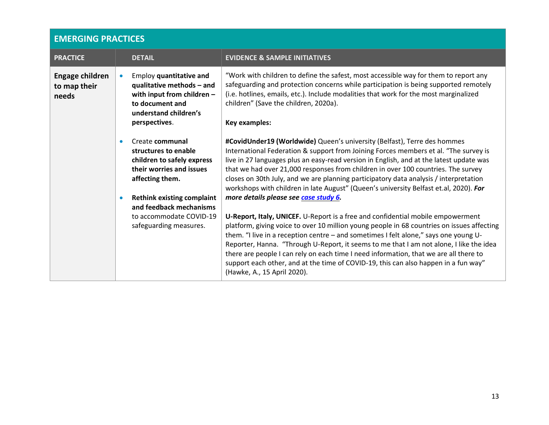# **EMERGING PRACTICES**

| <b>PRACTICE</b>                          |           | <b>DETAIL</b>                                                                                                                                   | <b>EVIDENCE &amp; SAMPLE INITIATIVES</b>                                                                                                                                                                                                                                                                                                                                                                                                                                                                                                                                                                                 |
|------------------------------------------|-----------|-------------------------------------------------------------------------------------------------------------------------------------------------|--------------------------------------------------------------------------------------------------------------------------------------------------------------------------------------------------------------------------------------------------------------------------------------------------------------------------------------------------------------------------------------------------------------------------------------------------------------------------------------------------------------------------------------------------------------------------------------------------------------------------|
| Engage children<br>to map their<br>needs |           | Employ quantitative and<br>qualitative methods - and<br>with input from children -<br>to document and<br>understand children's<br>perspectives. | "Work with children to define the safest, most accessible way for them to report any<br>safeguarding and protection concerns while participation is being supported remotely<br>(i.e. hotlines, emails, etc.). Include modalities that work for the most marginalized<br>children" (Save the children, 2020a).<br><b>Key examples:</b>                                                                                                                                                                                                                                                                                   |
|                                          | $\bullet$ | Create communal<br>structures to enable<br>children to safely express<br>their worries and issues<br>affecting them.                            | #CovidUnder19 (Worldwide) Queen's university (Belfast), Terre des hommes<br>International Federation & support from Joining Forces members et al. "The survey is<br>live in 27 languages plus an easy-read version in English, and at the latest update was<br>that we had over 21,000 responses from children in over 100 countries. The survey<br>closes on 30th July, and we are planning participatory data analysis / interpretation<br>workshops with children in late August" (Queen's university Belfast et.al, 2020). For                                                                                       |
|                                          | $\bullet$ | <b>Rethink existing complaint</b><br>and feedback mechanisms<br>to accommodate COVID-19<br>safeguarding measures.                               | more details please see case study 6.<br>U-Report, Italy, UNICEF. U-Report is a free and confidential mobile empowerment<br>platform, giving voice to over 10 million young people in 68 countries on issues affecting<br>them. "I live in a reception centre - and sometimes I felt alone," says one young U-<br>Reporter, Hanna. "Through U-Report, it seems to me that I am not alone, I like the idea<br>there are people I can rely on each time I need information, that we are all there to<br>support each other, and at the time of COVID-19, this can also happen in a fun way"<br>(Hawke, A., 15 April 2020). |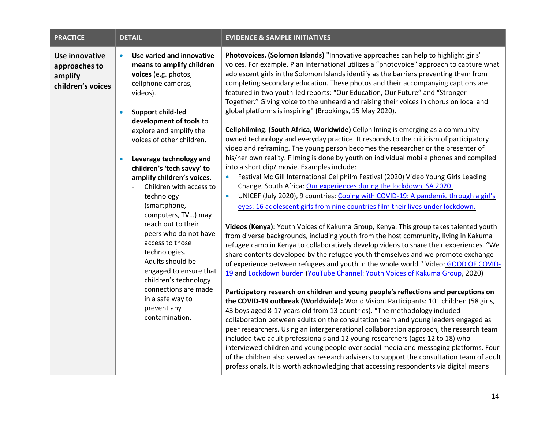| <b>PRACTICE</b>                                                        | <b>DETAIL</b>                                                                                                                                                                                                                                                                                                                                                                                                                                                                                                                                                                                                                                                                       | <b>EVIDENCE &amp; SAMPLE INITIATIVES</b>                                                                                                                                                                                                                                                                                                                                                                                                                                                                                                                                                                                                                                                                                                                                                                                                                                                                                                                                                                                                                                                                                                                                                                                                                                                                                                                                                                                                                                                                                                                                                                                                                                                                                                                                                                                                                                                                                                                                                                                                                                                                                                                                                                                                                                                                                                                                                                                                                                                                                                                                                                                                                                                                                       |
|------------------------------------------------------------------------|-------------------------------------------------------------------------------------------------------------------------------------------------------------------------------------------------------------------------------------------------------------------------------------------------------------------------------------------------------------------------------------------------------------------------------------------------------------------------------------------------------------------------------------------------------------------------------------------------------------------------------------------------------------------------------------|--------------------------------------------------------------------------------------------------------------------------------------------------------------------------------------------------------------------------------------------------------------------------------------------------------------------------------------------------------------------------------------------------------------------------------------------------------------------------------------------------------------------------------------------------------------------------------------------------------------------------------------------------------------------------------------------------------------------------------------------------------------------------------------------------------------------------------------------------------------------------------------------------------------------------------------------------------------------------------------------------------------------------------------------------------------------------------------------------------------------------------------------------------------------------------------------------------------------------------------------------------------------------------------------------------------------------------------------------------------------------------------------------------------------------------------------------------------------------------------------------------------------------------------------------------------------------------------------------------------------------------------------------------------------------------------------------------------------------------------------------------------------------------------------------------------------------------------------------------------------------------------------------------------------------------------------------------------------------------------------------------------------------------------------------------------------------------------------------------------------------------------------------------------------------------------------------------------------------------------------------------------------------------------------------------------------------------------------------------------------------------------------------------------------------------------------------------------------------------------------------------------------------------------------------------------------------------------------------------------------------------------------------------------------------------------------------------------------------------|
| <b>Use innovative</b><br>approaches to<br>amplify<br>children's voices | Use varied and innovative<br>$\bullet$<br>means to amplify children<br>voices (e.g. photos,<br>cellphone cameras,<br>videos).<br><b>Support child-led</b><br>$\bullet$<br>development of tools to<br>explore and amplify the<br>voices of other children.<br>Leverage technology and<br>$\bullet$<br>children's 'tech savvy' to<br>amplify children's voices.<br>Children with access to<br>technology<br>(smartphone,<br>computers, TV) may<br>reach out to their<br>peers who do not have<br>access to those<br>technologies.<br>Adults should be<br>engaged to ensure that<br>children's technology<br>connections are made<br>in a safe way to<br>prevent any<br>contamination. | Photovoices. (Solomon Islands) "Innovative approaches can help to highlight girls'<br>voices. For example, Plan International utilizes a "photovoice" approach to capture what<br>adolescent girls in the Solomon Islands identify as the barriers preventing them from<br>completing secondary education. These photos and their accompanying captions are<br>featured in two youth-led reports: "Our Education, Our Future" and "Stronger<br>Together." Giving voice to the unheard and raising their voices in chorus on local and<br>global platforms is inspiring" (Brookings, 15 May 2020).<br>Cellphilming. (South Africa, Worldwide) Cellphilming is emerging as a community-<br>owned technology and everyday practice. It responds to the criticism of participatory<br>video and reframing. The young person becomes the researcher or the presenter of<br>his/her own reality. Filming is done by youth on individual mobile phones and compiled<br>into a short clip/ movie. Examples include:<br>Festival Mc Gill International Cellphilm Festival (2020) Video Young Girls Leading<br>$\bullet$<br>Change, South Africa: Our experiences during the lockdown, SA 2020<br>UNICEF (July 2020), 9 countries: Coping with COVID-19: A pandemic through a girl's<br>$\bullet$<br>eyes: 16 adolescent girls from nine countries film their lives under lockdown.<br>Videos (Kenya): Youth Voices of Kakuma Group, Kenya. This group takes talented youth<br>from diverse backgrounds, including youth from the host community, living in Kakuma<br>refugee camp in Kenya to collaboratively develop videos to share their experiences. "We<br>share contents developed by the refugee youth themselves and we promote exchange<br>of experience between refugees and youth in the whole world." Video: GOOD OF COVID-<br>19 and Lockdown burden (YouTube Channel: Youth Voices of Kakuma Group, 2020)<br>Participatory research on children and young people's reflections and perceptions on<br>the COVID-19 outbreak (Worldwide): World Vision. Participants: 101 children (58 girls,<br>43 boys aged 8-17 years old from 13 countries). "The methodology included<br>collaboration between adults on the consultation team and young leaders engaged as<br>peer researchers. Using an intergenerational collaboration approach, the research team<br>included two adult professionals and 12 young researchers (ages 12 to 18) who<br>interviewed children and young people over social media and messaging platforms. Four<br>of the children also served as research advisers to support the consultation team of adult<br>professionals. It is worth acknowledging that accessing respondents via digital means |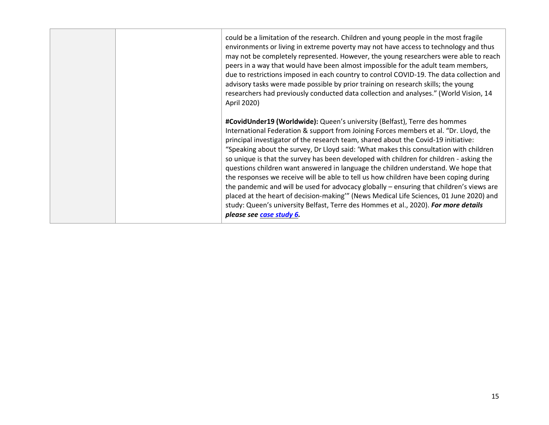|  | could be a limitation of the research. Children and young people in the most fragile<br>environments or living in extreme poverty may not have access to technology and thus<br>may not be completely represented. However, the young researchers were able to reach<br>peers in a way that would have been almost impossible for the adult team members,<br>due to restrictions imposed in each country to control COVID-19. The data collection and<br>advisory tasks were made possible by prior training on research skills; the young<br>researchers had previously conducted data collection and analyses." (World Vision, 14<br>April 2020)                                                                                                                                                                                                                                                                                    |
|--|---------------------------------------------------------------------------------------------------------------------------------------------------------------------------------------------------------------------------------------------------------------------------------------------------------------------------------------------------------------------------------------------------------------------------------------------------------------------------------------------------------------------------------------------------------------------------------------------------------------------------------------------------------------------------------------------------------------------------------------------------------------------------------------------------------------------------------------------------------------------------------------------------------------------------------------|
|  | #CovidUnder19 (Worldwide): Queen's university (Belfast), Terre des hommes<br>International Federation & support from Joining Forces members et al. "Dr. Lloyd, the<br>principal investigator of the research team, shared about the Covid-19 initiative:<br>"Speaking about the survey, Dr Lloyd said: 'What makes this consultation with children<br>so unique is that the survey has been developed with children for children - asking the<br>questions children want answered in language the children understand. We hope that<br>the responses we receive will be able to tell us how children have been coping during<br>the pandemic and will be used for advocacy globally - ensuring that children's views are<br>placed at the heart of decision-making" (News Medical Life Sciences, 01 June 2020) and<br>study: Queen's university Belfast, Terre des Hommes et al., 2020). For more details<br>please see case study 6. |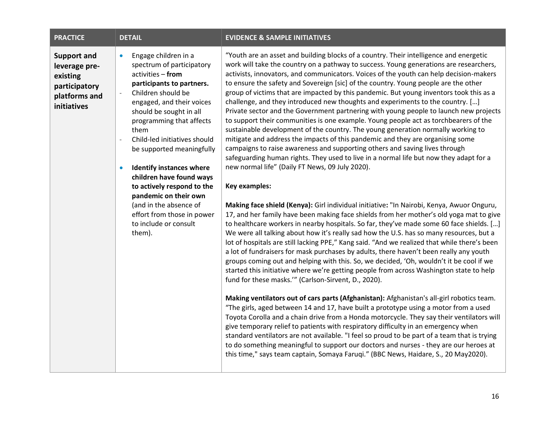| <b>PRACTICE</b>                                                                                  | <b>DETAIL</b>                                                                                                                                                                                                                                                                                                                                                                                                                                                                                                                                                                         | <b>EVIDENCE &amp; SAMPLE INITIATIVES</b>                                                                                                                                                                                                                                                                                                                                                                                                                                                                                                                                                                                                                                                                                                                                                                                                                                                                                                                                                                                                                                                                                                                                                                                                                                                                                                                                                                                                                                                                                                                                                                                                                                                                                                                                                                                                                                                                                                                                                                                                                                                                                                                                                                                                                                                                                                                                                                                                                                                                                                                                                                                          |
|--------------------------------------------------------------------------------------------------|---------------------------------------------------------------------------------------------------------------------------------------------------------------------------------------------------------------------------------------------------------------------------------------------------------------------------------------------------------------------------------------------------------------------------------------------------------------------------------------------------------------------------------------------------------------------------------------|-----------------------------------------------------------------------------------------------------------------------------------------------------------------------------------------------------------------------------------------------------------------------------------------------------------------------------------------------------------------------------------------------------------------------------------------------------------------------------------------------------------------------------------------------------------------------------------------------------------------------------------------------------------------------------------------------------------------------------------------------------------------------------------------------------------------------------------------------------------------------------------------------------------------------------------------------------------------------------------------------------------------------------------------------------------------------------------------------------------------------------------------------------------------------------------------------------------------------------------------------------------------------------------------------------------------------------------------------------------------------------------------------------------------------------------------------------------------------------------------------------------------------------------------------------------------------------------------------------------------------------------------------------------------------------------------------------------------------------------------------------------------------------------------------------------------------------------------------------------------------------------------------------------------------------------------------------------------------------------------------------------------------------------------------------------------------------------------------------------------------------------------------------------------------------------------------------------------------------------------------------------------------------------------------------------------------------------------------------------------------------------------------------------------------------------------------------------------------------------------------------------------------------------------------------------------------------------------------------------------------------------|
| <b>Support and</b><br>leverage pre-<br>existing<br>participatory<br>platforms and<br>initiatives | Engage children in a<br>$\bullet$<br>spectrum of participatory<br>activities - from<br>participants to partners.<br>Children should be<br>$\overline{\phantom{a}}$<br>engaged, and their voices<br>should be sought in all<br>programming that affects<br>them<br>Child-led initiatives should<br>$\overline{\phantom{a}}$<br>be supported meaningfully<br><b>Identify instances where</b><br>$\bullet$<br>children have found ways<br>to actively respond to the<br>pandemic on their own<br>(and in the absence of<br>effort from those in power<br>to include or consult<br>them). | "Youth are an asset and building blocks of a country. Their intelligence and energetic<br>work will take the country on a pathway to success. Young generations are researchers,<br>activists, innovators, and communicators. Voices of the youth can help decision-makers<br>to ensure the safety and Sovereign [sic] of the country. Young people are the other<br>group of victims that are impacted by this pandemic. But young inventors took this as a<br>challenge, and they introduced new thoughts and experiments to the country. []<br>Private sector and the Government partnering with young people to launch new projects<br>to support their communities is one example. Young people act as torchbearers of the<br>sustainable development of the country. The young generation normally working to<br>mitigate and address the impacts of this pandemic and they are organising some<br>campaigns to raise awareness and supporting others and saving lives through<br>safeguarding human rights. They used to live in a normal life but now they adapt for a<br>new normal life" (Daily FT News, 09 July 2020).<br>Key examples:<br>Making face shield (Kenya): Girl individual initiative: "In Nairobi, Kenya, Awuor Onguru,<br>17, and her family have been making face shields from her mother's old yoga mat to give<br>to healthcare workers in nearby hospitals. So far, they've made some 60 face shields. []<br>We were all talking about how it's really sad how the U.S. has so many resources, but a<br>lot of hospitals are still lacking PPE," Kang said. "And we realized that while there's been<br>a lot of fundraisers for mask purchases by adults, there haven't been really any youth<br>groups coming out and helping with this. So, we decided, 'Oh, wouldn't it be cool if we<br>started this initiative where we're getting people from across Washington state to help<br>fund for these masks."" (Carlson-Sirvent, D., 2020).<br>Making ventilators out of cars parts (Afghanistan): Afghanistan's all-girl robotics team.<br>"The girls, aged between 14 and 17, have built a prototype using a motor from a used<br>Toyota Corolla and a chain drive from a Honda motorcycle. They say their ventilators will<br>give temporary relief to patients with respiratory difficulty in an emergency when<br>standard ventilators are not available. "I feel so proud to be part of a team that is trying<br>to do something meaningful to support our doctors and nurses - they are our heroes at<br>this time," says team captain, Somaya Faruqi." (BBC News, Haidare, S., 20 May2020). |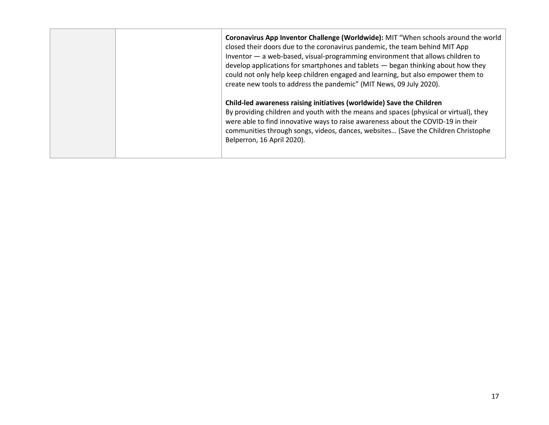|  | Coronavirus App Inventor Challenge (Worldwide): MIT "When schools around the world<br>closed their doors due to the coronavirus pandemic, the team behind MIT App<br>Inventor - a web-based, visual-programming environment that allows children to<br>develop applications for smartphones and tablets - began thinking about how they<br>could not only help keep children engaged and learning, but also empower them to<br>create new tools to address the pandemic" (MIT News, 09 July 2020). |
|--|----------------------------------------------------------------------------------------------------------------------------------------------------------------------------------------------------------------------------------------------------------------------------------------------------------------------------------------------------------------------------------------------------------------------------------------------------------------------------------------------------|
|  | Child-led awareness raising initiatives (worldwide) Save the Children<br>By providing children and youth with the means and spaces (physical or virtual), they<br>were able to find innovative ways to raise awareness about the COVID-19 in their<br>communities through songs, videos, dances, websites (Save the Children Christophe<br>Belperron, 16 April 2020).                                                                                                                              |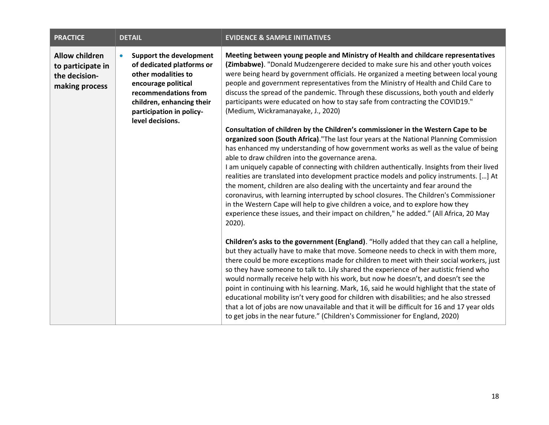<span id="page-17-0"></span>

| <b>PRACTICE</b>                                                               | <b>DETAIL</b>                                                                                                                                                                                                               | <b>EVIDENCE &amp; SAMPLE INITIATIVES</b>                                                                                                                                                                                                                                                                                                                                                                                                                                                                                                                                                                                                                                                                                                                                                                                               |
|-------------------------------------------------------------------------------|-----------------------------------------------------------------------------------------------------------------------------------------------------------------------------------------------------------------------------|----------------------------------------------------------------------------------------------------------------------------------------------------------------------------------------------------------------------------------------------------------------------------------------------------------------------------------------------------------------------------------------------------------------------------------------------------------------------------------------------------------------------------------------------------------------------------------------------------------------------------------------------------------------------------------------------------------------------------------------------------------------------------------------------------------------------------------------|
| <b>Allow children</b><br>to participate in<br>the decision-<br>making process | <b>Support the development</b><br>$\bullet$<br>of dedicated platforms or<br>other modalities to<br>encourage political<br>recommendations from<br>children, enhancing their<br>participation in policy-<br>level decisions. | Meeting between young people and Ministry of Health and childcare representatives<br>(Zimbabwe). "Donald Mudzengerere decided to make sure his and other youth voices<br>were being heard by government officials. He organized a meeting between local young<br>people and government representatives from the Ministry of Health and Child Care to<br>discuss the spread of the pandemic. Through these discussions, both youth and elderly<br>participants were educated on how to stay safe from contracting the COVID19."<br>(Medium, Wickramanayake, J., 2020)<br>Consultation of children by the Children's commissioner in the Western Cape to be                                                                                                                                                                              |
|                                                                               |                                                                                                                                                                                                                             | organized soon (South Africa)."The last four years at the National Planning Commission<br>has enhanced my understanding of how government works as well as the value of being<br>able to draw children into the governance arena.<br>I am uniquely capable of connecting with children authentically. Insights from their lived<br>realities are translated into development practice models and policy instruments. [] At<br>the moment, children are also dealing with the uncertainty and fear around the<br>coronavirus, with learning interrupted by school closures. The Children's Commissioner<br>in the Western Cape will help to give children a voice, and to explore how they<br>experience these issues, and their impact on children," he added." (All Africa, 20 May<br>2020).                                          |
|                                                                               |                                                                                                                                                                                                                             | Children's asks to the government (England). "Holly added that they can call a helpline,<br>but they actually have to make that move. Someone needs to check in with them more,<br>there could be more exceptions made for children to meet with their social workers, just<br>so they have someone to talk to. Lily shared the experience of her autistic friend who<br>would normally receive help with his work, but now he doesn't, and doesn't see the<br>point in continuing with his learning. Mark, 16, said he would highlight that the state of<br>educational mobility isn't very good for children with disabilities; and he also stressed<br>that a lot of jobs are now unavailable and that it will be difficult for 16 and 17 year olds<br>to get jobs in the near future." (Children's Commissioner for England, 2020) |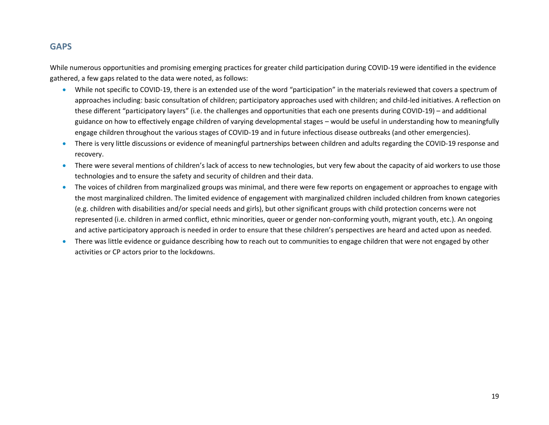# **GAPS**

While numerous opportunities and promising emerging practices for greater child participation during COVID-19 were identified in the evidence gathered, a few gaps related to the data were noted, as follows:

- While not specific to COVID-19, there is an extended use of the word "participation" in the materials reviewed that covers a spectrum of approaches including: basic consultation of children; participatory approaches used with children; and child-led initiatives. A reflection on these different "participatory layers" (i.e. the challenges and opportunities that each one presents during COVID-19) – and additional guidance on how to effectively engage children of varying developmental stages – would be useful in understanding how to meaningfully engage children throughout the various stages of COVID-19 and in future infectious disease outbreaks (and other emergencies).
- There is very little discussions or evidence of meaningful partnerships between children and adults regarding the COVID-19 response and recovery.
- There were several mentions of children's lack of access to new technologies, but very few about the capacity of aid workers to use those technologies and to ensure the safety and security of children and their data.
- The voices of children from marginalized groups was minimal, and there were few reports on engagement or approaches to engage with the most marginalized children. The limited evidence of engagement with marginalized children included children from known categories (e.g. children with disabilities and/or special needs and girls), but other significant groups with child protection concerns were not represented (i.e. children in armed conflict, ethnic minorities, queer or gender non-conforming youth, migrant youth, etc.). An ongoing and active participatory approach is needed in order to ensure that these children's perspectives are heard and acted upon as needed.
- There was little evidence or guidance describing how to reach out to communities to engage children that were not engaged by other activities or CP actors prior to the lockdowns.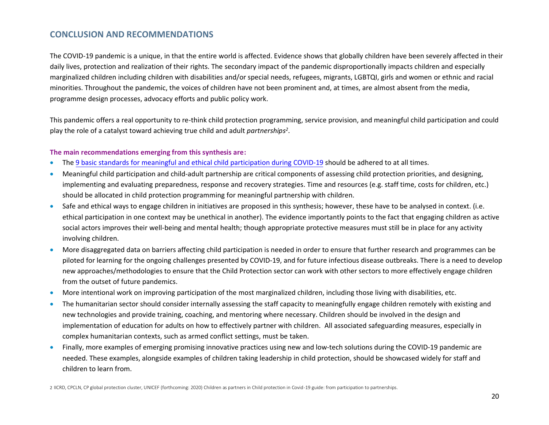# **CONCLUSION AND RECOMMENDATIONS**

The COVID-19 pandemic is a unique, in that the entire world is affected. Evidence shows that globally children have been severely affected in their daily lives, protection and realization of their rights. The secondary impact of the pandemic disproportionally impacts children and especially marginalized children including children with disabilities and/or special needs, refugees, migrants, LGBTQI, girls and women or ethnic and racial minorities. Throughout the pandemic, the voices of children have not been prominent and, at times, are almost absent from the media, programme design processes, advocacy efforts and public policy work.

This pandemic offers a real opportunity to re-think child protection programming, service provision, and meaningful child participation and could play the role of a catalyst toward achieving true child and adult *partnerships 2* .

### **The main recommendations emerging from this synthesis are:**

- The [9 basic standards for meaningful and ethical child participation during COVID-19](https://resourcecentre.savethechildren.net/library/applying-9-basic-requirements-meaningful-and-ethical-child-participation-during-covid-19) should be adhered to at all times.
- Meaningful child participation and child-adult partnership are critical components of assessing child protection priorities, and designing, implementing and evaluating preparedness, response and recovery strategies. Time and resources (e.g. staff time, costs for children, etc.) should be allocated in child protection programming for meaningful partnership with children.
- Safe and ethical ways to engage children in initiatives are proposed in this synthesis; however, these have to be analysed in context. (i.e. ethical participation in one context may be unethical in another). The evidence importantly points to the fact that engaging children as active social actors improves their well-being and mental health; though appropriate protective measures must still be in place for any activity involving children.
- More disaggregated data on barriers affecting child participation is needed in order to ensure that further research and programmes can be piloted for learning for the ongoing challenges presented by COVID-19, and for future infectious disease outbreaks. There is a need to develop new approaches/methodologies to ensure that the Child Protection sector can work with other sectors to more effectively engage children from the outset of future pandemics.
- More intentional work on improving participation of the most marginalized children, including those living with disabilities, etc.
- The humanitarian sector should consider internally assessing the staff capacity to meaningfully engage children remotely with existing and new technologies and provide training, coaching, and mentoring where necessary. Children should be involved in the design and implementation of education for adults on how to effectively partner with children. All associated safeguarding measures, especially in complex humanitarian contexts, such as armed conflict settings, must be taken.
- Finally, more examples of emerging promising innovative practices using new and low-tech solutions during the COVID-19 pandemic are needed. These examples, alongside examples of children taking leadership in child protection, should be showcased widely for staff and children to learn from.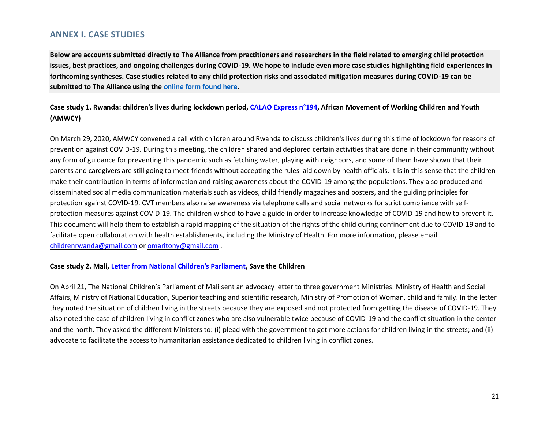## **ANNEX I. CASE STUDIES**

**Below are accounts submitted directly to The Alliance from practitioners and researchers in the field related to emerging child protection issues, best practices, and ongoing challenges during COVID-19. We hope to include even more case studies highlighting field experiences in forthcoming syntheses. Case studies related to any child protection risks and associated mitigation measures during COVID-19 can be submitted to The Alliance using the online form found here.**

### **Case study 1. Rwanda: children's lives during lockdown period[, CALAO Express n°194,](https://www.maejt.org/calao-express/) African Movement of Working Children and Youth (AMWCY)**

On March 29, 2020, AMWCY convened a call with children around Rwanda to discuss children's lives during this time of lockdown for reasons of prevention against COVID-19. During this meeting, the children shared and deplored certain activities that are done in their community without any form of guidance for preventing this pandemic such as fetching water, playing with neighbors, and some of them have shown that their parents and caregivers are still going to meet friends without accepting the rules laid down by health officials. It is in this sense that the children make their contribution in terms of information and raising awareness about the COVID-19 among the populations. They also produced and disseminated social media communication materials such as videos, child friendly magazines and posters, and the guiding principles for protection against COVID-19. CVT members also raise awareness via telephone calls and social networks for strict compliance with selfprotection measures against COVID-19. The children wished to have a guide in order to increase knowledge of COVID-19 and how to prevent it. This document will help them to establish a rapid mapping of the situation of the rights of the child during confinement due to COVID-19 and to facilitate open collaboration with health establishments, including the Ministry of Health. For more information, please email [childrenrwanda@gmail.com](mailto:childrenrwanda@gmail.com) or [omaritony@gmail.com](mailto:omaritony@gmail.com) .

### **Case study 2. Mali, Letter from [National Children's Parliament,](https://www.google.com/maps/d/u/0/viewer?mid=1GILz7jTTgzUsi9JF8XJvsL1JUXMEkO7j&ll=-7.014314555676598%2C1.665082151175298&z=3) Save the Children**

On April 21, The National Children's Parliament of Mali sent an advocacy letter to three government Ministries: Ministry of Health and Social Affairs, Ministry of National Education, Superior teaching and scientific research, Ministry of Promotion of Woman, child and family. In the letter they noted the situation of children living in the streets because they are exposed and not protected from getting the disease of COVID-19. They also noted the case of children living in conflict zones who are also vulnerable twice because of COVID-19 and the conflict situation in the center and the north. They asked the different Ministers to: (i) plead with the government to get more actions for children living in the streets; and (ii) advocate to facilitate the access to humanitarian assistance dedicated to children living in conflict zones.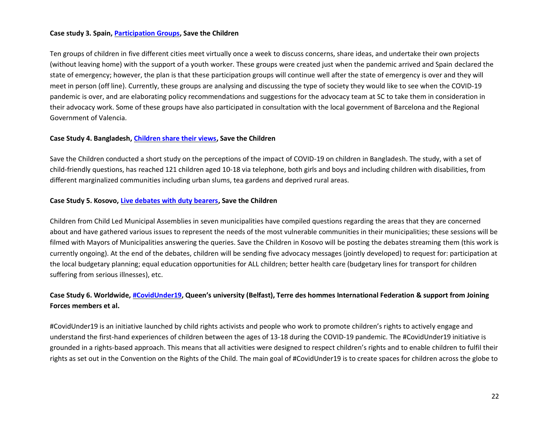### **Case study 3. Spain, [Participation Groups,](https://www.google.com/maps/d/u/0/viewer?mid=1GILz7jTTgzUsi9JF8XJvsL1JUXMEkO7j&ll=40.836917536713926%2C-1.8518461404144304&z=7) Save the Children**

Ten groups of children in five different cities meet virtually once a week to discuss concerns, share ideas, and undertake their own projects (without leaving home) with the support of a youth worker. These groups were created just when the pandemic arrived and Spain declared the state of emergency; however, the plan is that these participation groups will continue well after the state of emergency is over and they will meet in person (off line). Currently, these groups are analysing and discussing the type of society they would like to see when the COVID-19 pandemic is over, and are elaborating policy recommendations and suggestions for the advocacy team at SC to take them in consideration in their advocacy work. Some of these groups have also participated in consultation with the local government of Barcelona and the Regional Government of Valencia.

### **Case Study 4. Bangladesh, [Children share their views,](https://www.google.com/maps/d/u/0/viewer?mid=1GILz7jTTgzUsi9JF8XJvsL1JUXMEkO7j&ll=24.026499800000014%2C90.14111760000002&z=8) Save the Children**

Save the Children conducted a short study on the perceptions of the impact of COVID-19 on children in Bangladesh. The study, with a set of child-friendly questions, has reached 121 children aged 10-18 via telephone, both girls and boys and including children with disabilities, from different marginalized communities including urban slums, tea gardens and deprived rural areas.

### **Case Study 5. Kosovo, [Live debates with duty bearers,](https://www.google.com/maps/d/u/0/viewer?mid=1GILz7jTTgzUsi9JF8XJvsL1JUXMEkO7j&ll=42.22465822394643%2C20.10278786896059&z=7) Save the Children**

Children from Child Led Municipal Assemblies in seven municipalities have compiled questions regarding the areas that they are concerned about and have gathered various issues to represent the needs of the most vulnerable communities in their municipalities; these sessions will be filmed with Mayors of Municipalities answering the queries. Save the Children in Kosovo will be posting the debates streaming them (this work is currently ongoing). At the end of the debates, children will be sending five advocacy messages (jointly developed) to request for: participation at the local budgetary planning; equal education opportunities for ALL children; better health care (budgetary lines for transport for children suffering from serious illnesses), etc.

### **Case Study 6. Worldwide, [#CovidUnder19](https://www.qub.ac.uk/research-centres/CentreforChildrensRights/NewsEvents/COVIDUnder19-GlobalChildrensConsultation.html), Queen's university (Belfast), Terre des hommes International Federation & support from Joining Forces members et al.**

#CovidUnder19 is an initiative launched by child rights activists and people who work to promote children's rights to actively engage and understand the first-hand experiences of children between the ages of 13-18 during the COVID-19 pandemic. The #CovidUnder19 initiative is grounded in a rights-based approach. This means that all activities were designed to respect children's rights and to enable children to fulfil their rights as set out in the Convention on the Rights of the Child. The main goal of #CovidUnder19 is to create spaces for children across the globe to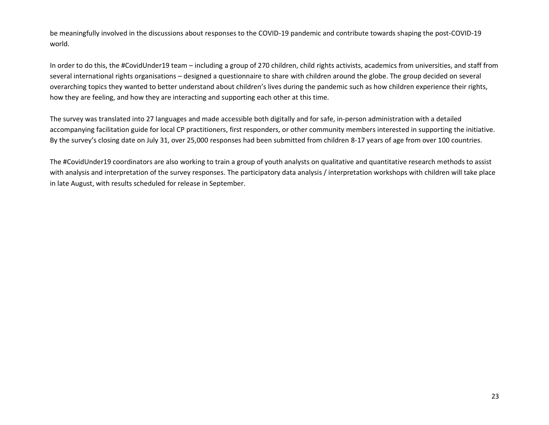be meaningfully involved in the discussions about responses to the COVID-19 pandemic and contribute towards shaping the post-COVID-19 world.

In order to do this, the #CovidUnder19 team – including a group of 270 children, child rights activists, academics from universities, and staff from several international rights organisations – designed a questionnaire to share with children around the globe. The group decided on several overarching topics they wanted to better understand about children's lives during the pandemic such as how children experience their rights, how they are feeling, and how they are interacting and supporting each other at this time.

The survey was translated into 27 languages and made accessible both digitally and for safe, in-person administration with a detailed accompanying facilitation guide for local CP practitioners, first responders, or other community members interested in supporting the initiative. By the survey's closing date on July 31, over 25,000 responses had been submitted from children 8-17 years of age from over 100 countries.

The #CovidUnder19 coordinators are also working to train a group of youth analysts on qualitative and quantitative research methods to assist with analysis and interpretation of the survey responses. The participatory data analysis / interpretation workshops with children will take place in late August, with results scheduled for release in September.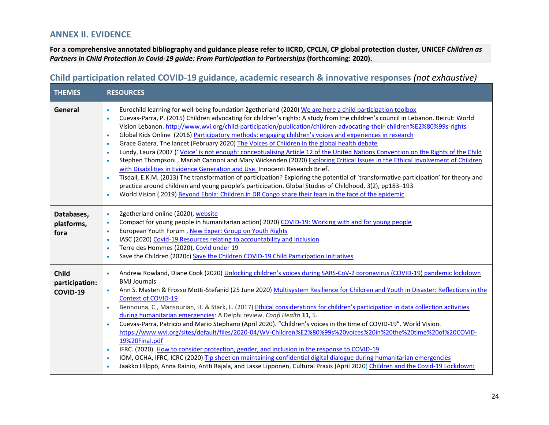# **ANNEX II. EVIDENCE**

**For a comprehensive annotated bibliography and guidance please refer to IICRD, CPCLN, CP global protection cluster, UNICEF** *Children as Partners in Child Protection in Covid-19 guide: From Participation to Partnerships (forthcoming: 2020).* 

### **Child participation related COVID-19 guidance, academic research & innovative responses** *(not exhaustive)*

| <b>THEMES</b>                              | <b>RESOURCES</b>                                                                                                                                                                                                                                                                                                                                                                                                                                                                                                                                                                                                                                                                                                                                                                                                                                                                                                                                                                                                                                                                                                                                                                                                                                                                                                                                                  |
|--------------------------------------------|-------------------------------------------------------------------------------------------------------------------------------------------------------------------------------------------------------------------------------------------------------------------------------------------------------------------------------------------------------------------------------------------------------------------------------------------------------------------------------------------------------------------------------------------------------------------------------------------------------------------------------------------------------------------------------------------------------------------------------------------------------------------------------------------------------------------------------------------------------------------------------------------------------------------------------------------------------------------------------------------------------------------------------------------------------------------------------------------------------------------------------------------------------------------------------------------------------------------------------------------------------------------------------------------------------------------------------------------------------------------|
| General                                    | Eurochild learning for well-being foundation 2getherland (2020) We are here a child participation toolbox<br>$\bullet$<br>Cuevas-Parra, P. (2015) Children advocating for children's rights: A study from the children's council in Lebanon. Beirut: World<br>$\bullet$<br>Vision Lebanon. http://www.wvi.org/child-participation/publication/children-advocating-their-children%E2%80%99s-rights<br>Global Kids Online (2016) Participatory methods: engaging children's voices and experiences in research<br>$\bullet$<br>Grace Gatera, The lancet (February 2020) The Voices of Children in the global health debate<br>$\bullet$<br>Lundy, Laura (2007)' Voice' is not enough: conceptualising Article 12 of the United Nations Convention on the Rights of the Child<br>$\bullet$<br>Stephen Thompsoni, Mariah Cannoni and Mary Wickenden (2020) Exploring Critical Issues in the Ethical Involvement of Children<br>with Disabilities in Evidence Generation and Use. Innocenti Research Brief.<br>Tisdall, E.K.M. (2013) The transformation of participation? Exploring the potential of 'transformative participation' for theory and<br>practice around children and young people's participation. Global Studies of Childhood, 3(2), pp183-193<br>World Vision (2019) Beyond Ebola: Children in DR Congo share their fears in the face of the epidemic |
| Databases,<br>platforms,<br>fora           | 2getherland online (2020), website<br>$\bullet$<br>Compact for young people in humanitarian action(2020) COVID-19: Working with and for young people<br>$\bullet$<br>European Youth Forum, New Expert Group on Youth Rights<br>$\bullet$<br>IASC (2020) Covid-19 Resources relating to accountability and inclusion<br>$\bullet$<br>Terre des Hommes (2020), Covid under 19<br>Save the Children (2020c) Save the Children COVID-19 Child Participation Initiatives                                                                                                                                                                                                                                                                                                                                                                                                                                                                                                                                                                                                                                                                                                                                                                                                                                                                                               |
| <b>Child</b><br>participation:<br>COVID-19 | Andrew Rowland, Diane Cook (2020) Unlocking children's voices during SARS-CoV-2 coronavirus (COVID-19) pandemic lockdown<br>$\bullet$<br><b>BMJ Journals</b><br>Ann S. Masten & Frosso Motti-Stefanid (25 June 2020) Multisystem Resilience for Children and Youth in Disaster: Reflections in the<br>$\bullet$<br><b>Context of COVID-19</b><br>Bennouna, C., Mansourian, H. & Stark, L. (2017) Ethical considerations for children's participation in data collection activities<br>$\bullet$<br>during humanitarian emergencies: A Delphi review. Confl Health 11, 5.<br>Cuevas-Parra, Patricio and Mario Stephano (April 2020). "Children's voices in the time of COVID-19". World Vision.<br>https://www.wvi.org/sites/default/files/2020-04/WV-Children%E2%80%99s%20voices%20in%20the%20time%20of%20COVID-<br>19%20Final.pdf<br>IFRC. (2020). How to consider protection, gender, and inclusion in the response to COVID-19<br>$\bullet$<br>IOM, OCHA, IFRC, ICRC (2020) Tip sheet on maintaining confidential digital dialogue during humanitarian emergencies<br>Jaakko Hilppö, Anna Rainio, Antti Rajala, and Lasse Lipponen, Cultural Praxis (April 2020) Children and the Covid-19 Lockdown:                                                                                                                                                           |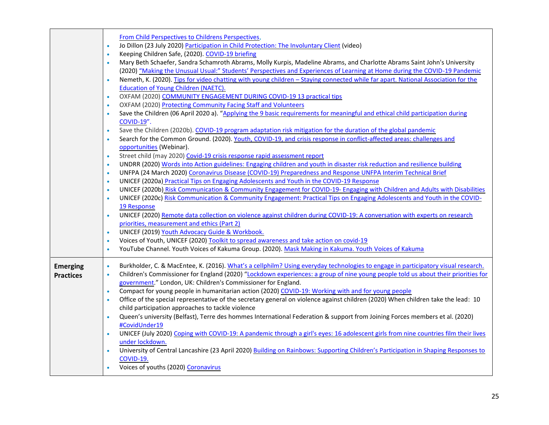|                  | From Child Perspectives to Childrens Perspectives,<br>Jo Dillon (23 July 2020) Participation in Child Protection: The Involuntary Client (video)<br>$\bullet$<br>Keeping Children Safe, (2020). COVID-19 briefing<br>$\bullet$<br>Mary Beth Schaefer, Sandra Schamroth Abrams, Molly Kurpis, Madeline Abrams, and Charlotte Abrams Saint John's University<br>$\bullet$<br>(2020) "Making the Unusual Usual:" Students' Perspectives and Experiences of Learning at Home during the COVID-19 Pandemic<br>Nemeth, K. (2020). Tips for video chatting with young children - Staying connected while far apart. National Association for the<br>Education of Young Children (NAETC).<br>OXFAM (2020) COMMUNITY ENGAGEMENT DURING COVID-19 13 practical tips<br>$\bullet$<br>OXFAM (2020) Protecting Community Facing Staff and Volunteers<br>$\bullet$<br>Save the Children (06 April 2020 a). "Applying the 9 basic requirements for meaningful and ethical child participation during<br>$\bullet$<br>COVID-19".<br>Save the Children (2020b). COVID-19 program adaptation risk mitigation for the duration of the global pandemic<br>$\bullet$<br>Search for the Common Ground. (2020). Youth, COVID-19, and crisis response in conflict-affected areas: challenges and<br>opportunities (Webinar).<br>Street child (may 2020) Covid-19 crisis response rapid assessment report<br>$\bullet$<br>UNDRR (2020) Words into Action guidelines: Engaging children and youth in disaster risk reduction and resilience building<br>$\bullet$<br>UNFPA (24 March 2020) Coronavirus Disease (COVID-19) Preparedness and Response UNFPA Interim Technical Brief<br>$\bullet$<br>UNICEF (2020a) Practical Tips on Engaging Adolescents and Youth in the COVID-19 Response<br>$\bullet$ |
|------------------|------------------------------------------------------------------------------------------------------------------------------------------------------------------------------------------------------------------------------------------------------------------------------------------------------------------------------------------------------------------------------------------------------------------------------------------------------------------------------------------------------------------------------------------------------------------------------------------------------------------------------------------------------------------------------------------------------------------------------------------------------------------------------------------------------------------------------------------------------------------------------------------------------------------------------------------------------------------------------------------------------------------------------------------------------------------------------------------------------------------------------------------------------------------------------------------------------------------------------------------------------------------------------------------------------------------------------------------------------------------------------------------------------------------------------------------------------------------------------------------------------------------------------------------------------------------------------------------------------------------------------------------------------------------------------------------------------------------------------------------------------------------------------|
|                  | UNICEF (2020b) Risk Communication & Community Engagement for COVID-19- Engaging with Children and Adults with Disabilities<br>$\bullet$<br>UNICEF (2020c) Risk Communication & Community Engagement: Practical Tips on Engaging Adolescents and Youth in the COVID-<br>$\bullet$                                                                                                                                                                                                                                                                                                                                                                                                                                                                                                                                                                                                                                                                                                                                                                                                                                                                                                                                                                                                                                                                                                                                                                                                                                                                                                                                                                                                                                                                                             |
|                  | 19 Response<br>UNICEF (2020) Remote data collection on violence against children during COVID-19: A conversation with experts on research<br>$\bullet$<br>priorities, measurement and ethics (Part 2)<br>UNICEF (2019) Youth Advocacy Guide & Workbook.<br>$\bullet$                                                                                                                                                                                                                                                                                                                                                                                                                                                                                                                                                                                                                                                                                                                                                                                                                                                                                                                                                                                                                                                                                                                                                                                                                                                                                                                                                                                                                                                                                                         |
|                  | Voices of Youth, UNICEF (2020) Toolkit to spread awareness and take action on covid-19<br>$\bullet$                                                                                                                                                                                                                                                                                                                                                                                                                                                                                                                                                                                                                                                                                                                                                                                                                                                                                                                                                                                                                                                                                                                                                                                                                                                                                                                                                                                                                                                                                                                                                                                                                                                                          |
|                  | YouTube Channel. Youth Voices of Kakuma Group. (2020). Mask Making in Kakuma. Youth Voices of Kakuma<br>$\bullet$                                                                                                                                                                                                                                                                                                                                                                                                                                                                                                                                                                                                                                                                                                                                                                                                                                                                                                                                                                                                                                                                                                                                                                                                                                                                                                                                                                                                                                                                                                                                                                                                                                                            |
|                  |                                                                                                                                                                                                                                                                                                                                                                                                                                                                                                                                                                                                                                                                                                                                                                                                                                                                                                                                                                                                                                                                                                                                                                                                                                                                                                                                                                                                                                                                                                                                                                                                                                                                                                                                                                              |
| <b>Emerging</b>  | Burkholder, C. & MacEntee, K. (2016). What's a cellphilm? Using everyday technologies to engage in participatory visual research.<br>$\bullet$                                                                                                                                                                                                                                                                                                                                                                                                                                                                                                                                                                                                                                                                                                                                                                                                                                                                                                                                                                                                                                                                                                                                                                                                                                                                                                                                                                                                                                                                                                                                                                                                                               |
| <b>Practices</b> | Children's Commissioner for England (2020) "Lockdown experiences: a group of nine young people told us about their priorities for<br>٠                                                                                                                                                                                                                                                                                                                                                                                                                                                                                                                                                                                                                                                                                                                                                                                                                                                                                                                                                                                                                                                                                                                                                                                                                                                                                                                                                                                                                                                                                                                                                                                                                                       |
|                  | government." London, UK: Children's Commissioner for England.<br>Compact for young people in humanitarian action (2020) COVID-19: Working with and for young people<br>$\bullet$                                                                                                                                                                                                                                                                                                                                                                                                                                                                                                                                                                                                                                                                                                                                                                                                                                                                                                                                                                                                                                                                                                                                                                                                                                                                                                                                                                                                                                                                                                                                                                                             |
|                  | Office of the special representative of the secretary general on violence against children (2020) When children take the lead: 10<br>$\bullet$                                                                                                                                                                                                                                                                                                                                                                                                                                                                                                                                                                                                                                                                                                                                                                                                                                                                                                                                                                                                                                                                                                                                                                                                                                                                                                                                                                                                                                                                                                                                                                                                                               |
|                  | child participation approaches to tackle violence                                                                                                                                                                                                                                                                                                                                                                                                                                                                                                                                                                                                                                                                                                                                                                                                                                                                                                                                                                                                                                                                                                                                                                                                                                                                                                                                                                                                                                                                                                                                                                                                                                                                                                                            |
|                  | Queen's university (Belfast), Terre des hommes International Federation & support from Joining Forces members et al. (2020)                                                                                                                                                                                                                                                                                                                                                                                                                                                                                                                                                                                                                                                                                                                                                                                                                                                                                                                                                                                                                                                                                                                                                                                                                                                                                                                                                                                                                                                                                                                                                                                                                                                  |
|                  | #CovidUnder19                                                                                                                                                                                                                                                                                                                                                                                                                                                                                                                                                                                                                                                                                                                                                                                                                                                                                                                                                                                                                                                                                                                                                                                                                                                                                                                                                                                                                                                                                                                                                                                                                                                                                                                                                                |
|                  | UNICEF (July 2020) Coping with COVID-19: A pandemic through a girl's eyes: 16 adolescent girls from nine countries film their lives                                                                                                                                                                                                                                                                                                                                                                                                                                                                                                                                                                                                                                                                                                                                                                                                                                                                                                                                                                                                                                                                                                                                                                                                                                                                                                                                                                                                                                                                                                                                                                                                                                          |
|                  | under lockdown.                                                                                                                                                                                                                                                                                                                                                                                                                                                                                                                                                                                                                                                                                                                                                                                                                                                                                                                                                                                                                                                                                                                                                                                                                                                                                                                                                                                                                                                                                                                                                                                                                                                                                                                                                              |
|                  | University of Central Lancashire (23 April 2020) Building on Rainbows: Supporting Children's Participation in Shaping Responses to<br>COVID-19.                                                                                                                                                                                                                                                                                                                                                                                                                                                                                                                                                                                                                                                                                                                                                                                                                                                                                                                                                                                                                                                                                                                                                                                                                                                                                                                                                                                                                                                                                                                                                                                                                              |
|                  | Voices of youths (2020) Coronavirus                                                                                                                                                                                                                                                                                                                                                                                                                                                                                                                                                                                                                                                                                                                                                                                                                                                                                                                                                                                                                                                                                                                                                                                                                                                                                                                                                                                                                                                                                                                                                                                                                                                                                                                                          |
|                  |                                                                                                                                                                                                                                                                                                                                                                                                                                                                                                                                                                                                                                                                                                                                                                                                                                                                                                                                                                                                                                                                                                                                                                                                                                                                                                                                                                                                                                                                                                                                                                                                                                                                                                                                                                              |